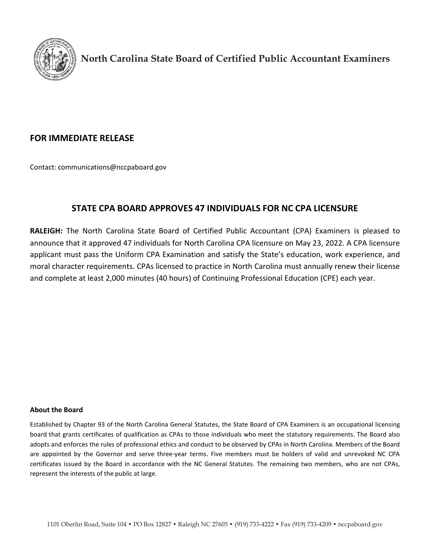

**North Carolina State Board of Certified Public Accountant Examiners**

## **FOR IMMEDIATE RELEASE**

Contact: [communications@nccpaboard.gov](mailto:communications@nccpaboard.gov)

# **STATE CPA BOARD APPROVES 47 INDIVIDUALS FOR NC CPA LICENSURE**

**RALEIGH:** The North Carolina State Board of Certified Public Accountant (CPA) Examiners is pleased to announce that it approved 47 individuals for North Carolina CPA licensure on May 23, 2022. A CPA licensure applicant must pass the Uniform CPA Examination and satisfy the State's education, work experience, and moral character requirements. CPAs licensed to practice in North Carolina must annually renew their license and complete at least 2,000 minutes (40 hours) of Continuing Professional Education (CPE) each year.

## **About the Board**

Established by Chapter 93 of the North Carolina General Statutes, the State Board of CPA Examiners is an occupational licensing board that grants certificates of qualification as CPAs to those individuals who meet the statutory requirements. The Board also adopts and enforces the rules of professional ethics and conduct to be observed by CPAs in North Carolina. Members of the Board are appointed by the Governor and serve three-year terms. Five members must be holders of valid and unrevoked NC CPA certificates issued by the Board in accordance with the NC General Statutes. The remaining two members, who are not CPAs, represent the interests of the public at large.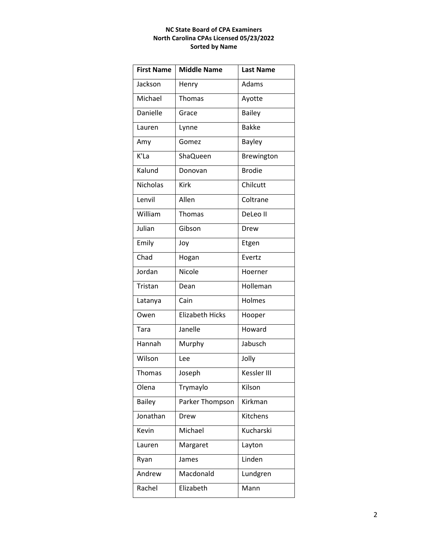### **NC State Board of CPA Examiners North Carolina CPAs Licensed 05/23/2022 Sorted by Name**

| <b>First Name</b> | <b>Middle Name</b>     | <b>Last Name</b> |
|-------------------|------------------------|------------------|
| Jackson           | Henry                  | Adams            |
| Michael           | Thomas                 | Ayotte           |
| Danielle          | Grace                  | <b>Bailey</b>    |
| Lauren            | Lynne                  | <b>Bakke</b>     |
| Amy               | Gomez                  | <b>Bayley</b>    |
| K'La              | ShaQueen               | Brewington       |
| Kalund            | Donovan                | <b>Brodie</b>    |
| <b>Nicholas</b>   | <b>Kirk</b>            | Chilcutt         |
| Lenvil            | Allen                  | Coltrane         |
| William           | Thomas                 | DeLeo II         |
| Julian            | Gibson                 | Drew             |
| Emily             | Joy                    | Etgen            |
| Chad              | Hogan                  | Evertz           |
| Jordan            | Nicole                 | Hoerner          |
| Tristan           | Dean                   | Holleman         |
| Latanya           | Cain                   | Holmes           |
| Owen              | <b>Elizabeth Hicks</b> | Hooper           |
| Tara              | Janelle                | Howard           |
| Hannah            | Murphy                 | Jabusch          |
| Wilson            | Lee                    | Jolly            |
| <b>Thomas</b>     | Joseph                 | Kessler III      |
| Olena             | Trymaylo               | Kilson           |
| <b>Bailey</b>     | Parker Thompson        | Kirkman          |
| Jonathan          | Drew                   | Kitchens         |
| Kevin             | Michael                | Kucharski        |
| Lauren            | Margaret               | Layton           |
| Ryan              | James                  | Linden           |
| Andrew            | Macdonald              | Lundgren         |
| Rachel            | Elizabeth              | Mann             |